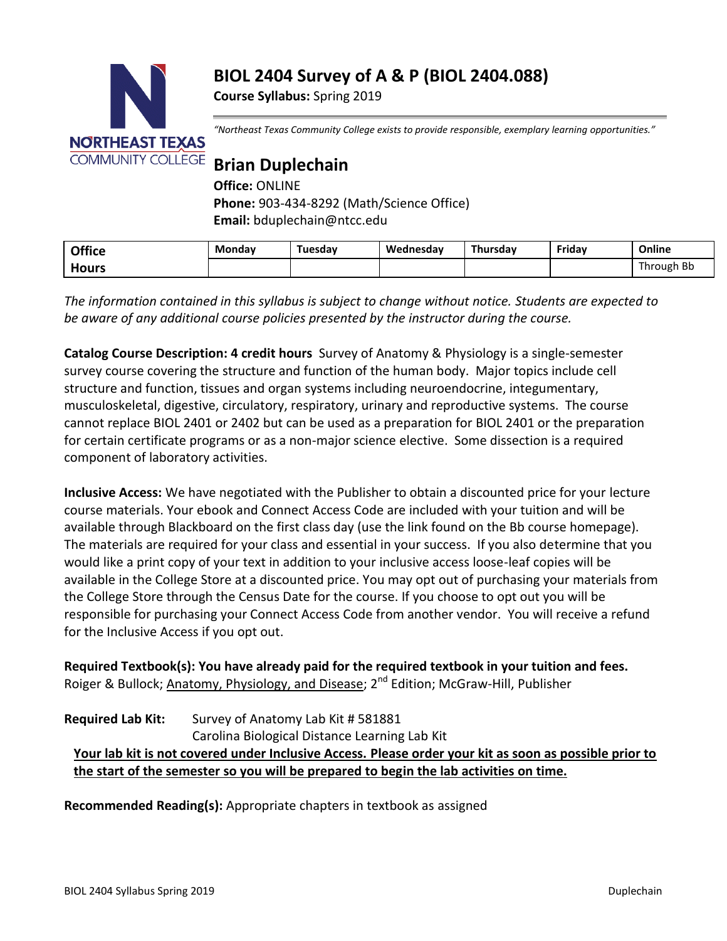# **BIOL 2404 Survey of A & P (BIOL 2404.088)**

**Course Syllabus:** Spring 2019



*"Northeast Texas Community College exists to provide responsible, exemplary learning opportunities."*

# **Brian Duplechain**

**Office:** ONLINE **Phone:** 903-434-8292 (Math/Science Office) **Email:** bduplechain@ntcc.edu

| <b>Office</b> | Mondav | Tuesdav | Wednesdav | Thursdav | Fridav | Online          |
|---------------|--------|---------|-----------|----------|--------|-----------------|
| Hours         |        |         |           |          |        | ካ Bb<br>Through |

*The information contained in this syllabus is subject to change without notice. Students are expected to be aware of any additional course policies presented by the instructor during the course.* 

**Catalog Course Description: 4 credit hours** Survey of Anatomy & Physiology is a single-semester survey course covering the structure and function of the human body. Major topics include cell structure and function, tissues and organ systems including neuroendocrine, integumentary, musculoskeletal, digestive, circulatory, respiratory, urinary and reproductive systems. The course cannot replace BIOL 2401 or 2402 but can be used as a preparation for BIOL 2401 or the preparation for certain certificate programs or as a non-major science elective. Some dissection is a required component of laboratory activities.

**Inclusive Access:** We have negotiated with the Publisher to obtain a discounted price for your lecture course materials. Your ebook and Connect Access Code are included with your tuition and will be available through Blackboard on the first class day (use the link found on the Bb course homepage). The materials are required for your class and essential in your success. If you also determine that you would like a print copy of your text in addition to your inclusive access loose-leaf copies will be available in the College Store at a discounted price. You may opt out of purchasing your materials from the College Store through the Census Date for the course. If you choose to opt out you will be responsible for purchasing your Connect Access Code from another vendor. You will receive a refund for the Inclusive Access if you opt out.

**Required Textbook(s): You have already paid for the required textbook in your tuition and fees.** Roiger & Bullock; Anatomy, Physiology, and Disease; 2<sup>nd</sup> Edition; McGraw-Hill, Publisher

# **Required Lab Kit:** Survey of Anatomy Lab Kit # 581881 Carolina Biological Distance Learning Lab Kit **Your lab kit is not covered under Inclusive Access. Please order your kit as soon as possible prior to the start of the semester so you will be prepared to begin the lab activities on time.**

**Recommended Reading(s):** Appropriate chapters in textbook as assigned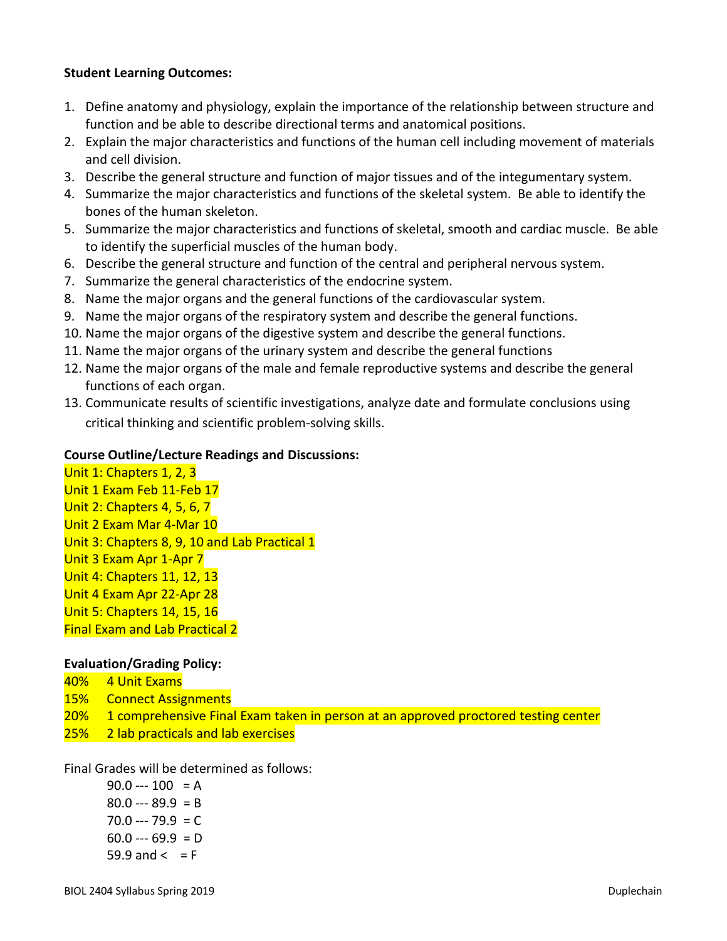#### **Student Learning Outcomes:**

- 1. Define anatomy and physiology, explain the importance of the relationship between structure and function and be able to describe directional terms and anatomical positions.
- 2. Explain the major characteristics and functions of the human cell including movement of materials and cell division.
- 3. Describe the general structure and function of major tissues and of the integumentary system.
- 4. Summarize the major characteristics and functions of the skeletal system. Be able to identify the bones of the human skeleton.
- 5. Summarize the major characteristics and functions of skeletal, smooth and cardiac muscle. Be able to identify the superficial muscles of the human body.
- 6. Describe the general structure and function of the central and peripheral nervous system.
- 7. Summarize the general characteristics of the endocrine system.
- 8. Name the major organs and the general functions of the cardiovascular system.
- 9. Name the major organs of the respiratory system and describe the general functions.
- 10. Name the major organs of the digestive system and describe the general functions.
- 11. Name the major organs of the urinary system and describe the general functions
- 12. Name the major organs of the male and female reproductive systems and describe the general functions of each organ.
- 13. Communicate results of scientific investigations, analyze date and formulate conclusions using critical thinking and scientific problem-solving skills.

#### **Course Outline/Lecture Readings and Discussions:**

Unit 1: Chapters 1, 2, 3 Unit 1 Exam Feb 11-Feb 17 Unit 2: Chapters 4, 5, 6, 7 Unit 2 Exam Mar 4-Mar 10 Unit 3: Chapters 8, 9, 10 and Lab Practical 1 Unit 3 Exam Apr 1-Apr 7 Unit 4: Chapters 11, 12, 13 Unit 4 Exam Apr 22-Apr 28 Unit 5: Chapters 14, 15, 16 Final Exam and Lab Practical 2

## **Evaluation/Grading Policy:**

- 40% 4 Unit Exams
- 15% Connect Assignments
- 20% 1 comprehensive Final Exam taken in person at an approved proctored testing center
- 25% 2 lab practicals and lab exercises

Final Grades will be determined as follows:

 $90.0 -- 100 = A$  $80.0 -- 89.9 = B$  $70.0 -- 79.9 = C$  $60.0 -- 69.9 = D$ 59.9 and  $\leq$  = F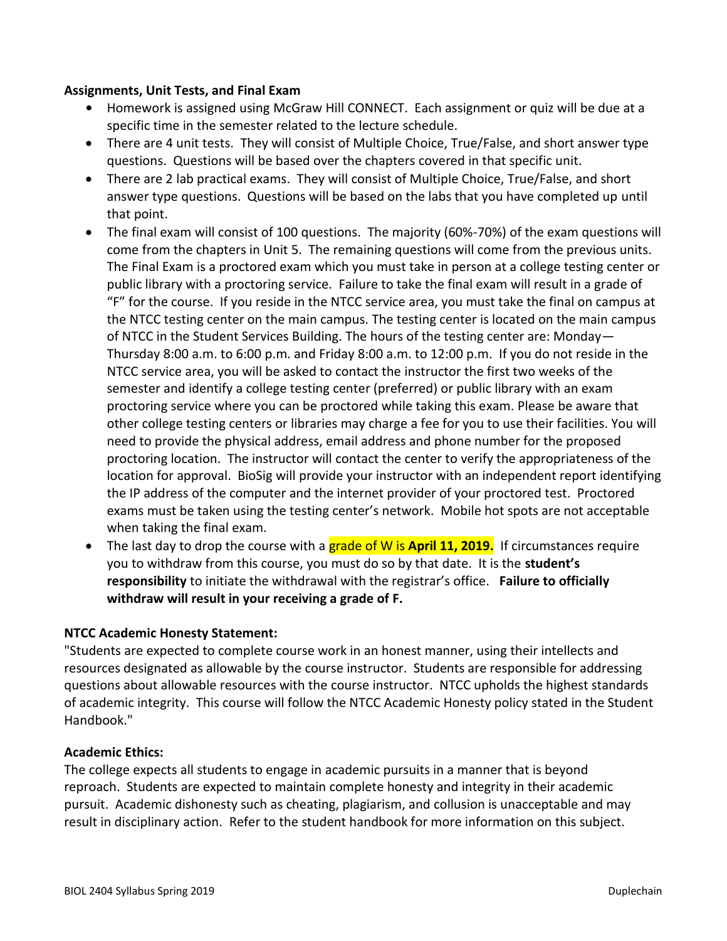#### **Assignments, Unit Tests, and Final Exam**

- **•** Homework is assigned using McGraw Hill CONNECT. Each assignment or quiz will be due at a specific time in the semester related to the lecture schedule.
- There are 4 unit tests. They will consist of Multiple Choice, True/False, and short answer type questions. Questions will be based over the chapters covered in that specific unit.
- There are 2 lab practical exams. They will consist of Multiple Choice, True/False, and short answer type questions. Questions will be based on the labs that you have completed up until that point.
- The final exam will consist of 100 questions. The majority (60%-70%) of the exam questions will come from the chapters in Unit 5. The remaining questions will come from the previous units. The Final Exam is a proctored exam which you must take in person at a college testing center or public library with a proctoring service. Failure to take the final exam will result in a grade of "F" for the course. If you reside in the NTCC service area, you must take the final on campus at the NTCC testing center on the main campus. The testing center is located on the main campus of NTCC in the Student Services Building. The hours of the testing center are: Monday— Thursday 8:00 a.m. to 6:00 p.m. and Friday 8:00 a.m. to 12:00 p.m. If you do not reside in the NTCC service area, you will be asked to contact the instructor the first two weeks of the semester and identify a college testing center (preferred) or public library with an exam proctoring service where you can be proctored while taking this exam. Please be aware that other college testing centers or libraries may charge a fee for you to use their facilities. You will need to provide the physical address, email address and phone number for the proposed proctoring location. The instructor will contact the center to verify the appropriateness of the location for approval. BioSig will provide your instructor with an independent report identifying the IP address of the computer and the internet provider of your proctored test. Proctored exams must be taken using the testing center's network. Mobile hot spots are not acceptable when taking the final exam.
- The last day to drop the course with a grade of W is **April 11, 2019.** If circumstances require you to withdraw from this course, you must do so by that date. It is the **student's responsibility** to initiate the withdrawal with the registrar's office. **Failure to officially withdraw will result in your receiving a grade of F.**

## **NTCC Academic Honesty Statement:**

"Students are expected to complete course work in an honest manner, using their intellects and resources designated as allowable by the course instructor. Students are responsible for addressing questions about allowable resources with the course instructor. NTCC upholds the highest standards of academic integrity. This course will follow the NTCC Academic Honesty policy stated in the Student Handbook."

## **Academic Ethics:**

The college expects all students to engage in academic pursuits in a manner that is beyond reproach. Students are expected to maintain complete honesty and integrity in their academic pursuit. Academic dishonesty such as cheating, plagiarism, and collusion is unacceptable and may result in disciplinary action. Refer to the student handbook for more information on this subject.